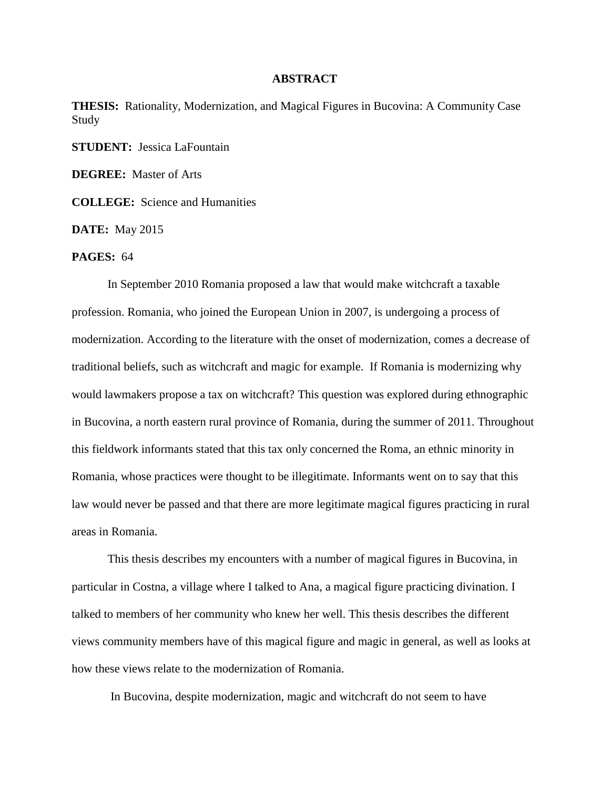## **ABSTRACT**

**THESIS:** Rationality, Modernization, and Magical Figures in Bucovina: A Community Case Study

**STUDENT:** Jessica LaFountain

**DEGREE:** Master of Arts

**COLLEGE:** Science and Humanities

**DATE:** May 2015

## **PAGES:** 64

In September 2010 Romania proposed a law that would make witchcraft a taxable profession. Romania, who joined the European Union in 2007, is undergoing a process of modernization. According to the literature with the onset of modernization, comes a decrease of traditional beliefs, such as witchcraft and magic for example. If Romania is modernizing why would lawmakers propose a tax on witchcraft? This question was explored during ethnographic in Bucovina, a north eastern rural province of Romania, during the summer of 2011. Throughout this fieldwork informants stated that this tax only concerned the Roma, an ethnic minority in Romania, whose practices were thought to be illegitimate. Informants went on to say that this law would never be passed and that there are more legitimate magical figures practicing in rural areas in Romania.

This thesis describes my encounters with a number of magical figures in Bucovina, in particular in Costna, a village where I talked to Ana, a magical figure practicing divination. I talked to members of her community who knew her well. This thesis describes the different views community members have of this magical figure and magic in general, as well as looks at how these views relate to the modernization of Romania.

In Bucovina, despite modernization, magic and witchcraft do not seem to have